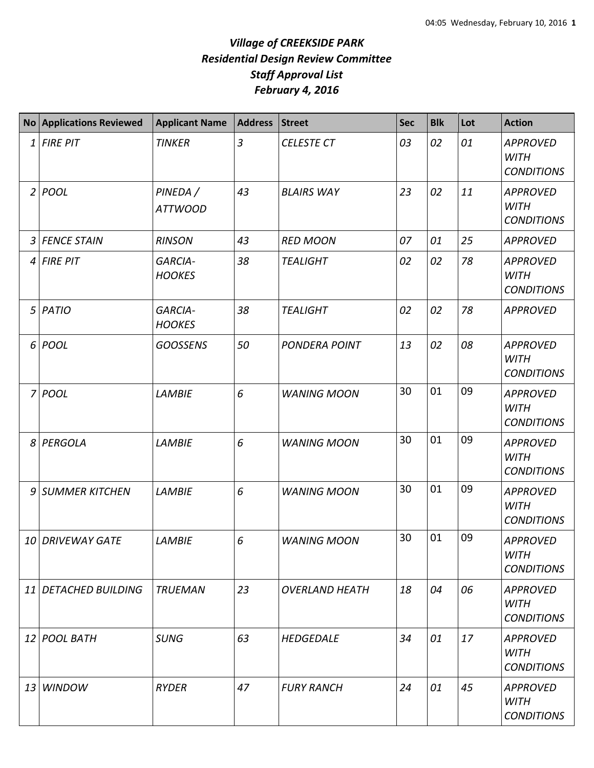## *Village of CREEKSIDE PARK Residential Design Review Committee Staff Approval List February 4, 2016*

|                | <b>No Applications Reviewed</b> | <b>Applicant Name</b>           | <b>Address</b> | <b>Street</b>         | <b>Sec</b> | <b>Blk</b> | Lot | <b>Action</b>                                       |
|----------------|---------------------------------|---------------------------------|----------------|-----------------------|------------|------------|-----|-----------------------------------------------------|
| 1              | <b>FIRE PIT</b>                 | <b>TINKER</b>                   | $\overline{3}$ | <b>CELESTE CT</b>     | 03         | 02         | 01  | <b>APPROVED</b><br><b>WITH</b><br><b>CONDITIONS</b> |
| $\overline{2}$ | POOL                            | PINEDA /<br><b>ATTWOOD</b>      | 43             | <b>BLAIRS WAY</b>     | 23         | 02         | 11  | <b>APPROVED</b><br><b>WITH</b><br><b>CONDITIONS</b> |
| 3              | <b>FENCE STAIN</b>              | <b>RINSON</b>                   | 43             | <b>RED MOON</b>       | 07         | 01         | 25  | <b>APPROVED</b>                                     |
| 4              | <b>FIRE PIT</b>                 | <b>GARCIA-</b><br><b>HOOKES</b> | 38             | <b>TEALIGHT</b>       | 02         | 02         | 78  | <b>APPROVED</b><br><b>WITH</b><br><b>CONDITIONS</b> |
| 5              | PATIO                           | <b>GARCIA-</b><br><b>HOOKES</b> | 38             | <b>TEALIGHT</b>       | 02         | 02         | 78  | <b>APPROVED</b>                                     |
| 6              | POOL                            | <b>GOOSSENS</b>                 | 50             | <b>PONDERA POINT</b>  | 13         | 02         | 08  | <b>APPROVED</b><br><b>WITH</b><br><b>CONDITIONS</b> |
| 7              | POOL                            | <b>LAMBIE</b>                   | 6              | <b>WANING MOON</b>    | 30         | 01         | 09  | <b>APPROVED</b><br><b>WITH</b><br><b>CONDITIONS</b> |
| 8              | PERGOLA                         | <b>LAMBIE</b>                   | 6              | <b>WANING MOON</b>    | 30         | 01         | 09  | <b>APPROVED</b><br><b>WITH</b><br><b>CONDITIONS</b> |
| 9              | <b>SUMMER KITCHEN</b>           | <b>LAMBIE</b>                   | 6              | <b>WANING MOON</b>    | 30         | 01         | 09  | <b>APPROVED</b><br><b>WITH</b><br><b>CONDITIONS</b> |
|                | 10 DRIVEWAY GATE                | <b>LAMBIE</b>                   | 6              | <b>WANING MOON</b>    | 30         | 01         | 09  | <b>APPROVED</b><br><b>WITH</b><br><b>CONDITIONS</b> |
|                | 11 DETACHED BUILDING            | <b>TRUEMAN</b>                  | 23             | <b>OVERLAND HEATH</b> | 18         | 04         | 06  | <b>APPROVED</b><br><b>WITH</b><br><b>CONDITIONS</b> |
|                | 12 POOL BATH                    | <b>SUNG</b>                     | 63             | <b>HEDGEDALE</b>      | 34         | 01         | 17  | <b>APPROVED</b><br><b>WITH</b><br><b>CONDITIONS</b> |
| 13             | <b>WINDOW</b>                   | <b>RYDER</b>                    | 47             | <b>FURY RANCH</b>     | 24         | 01         | 45  | <b>APPROVED</b><br><b>WITH</b><br><b>CONDITIONS</b> |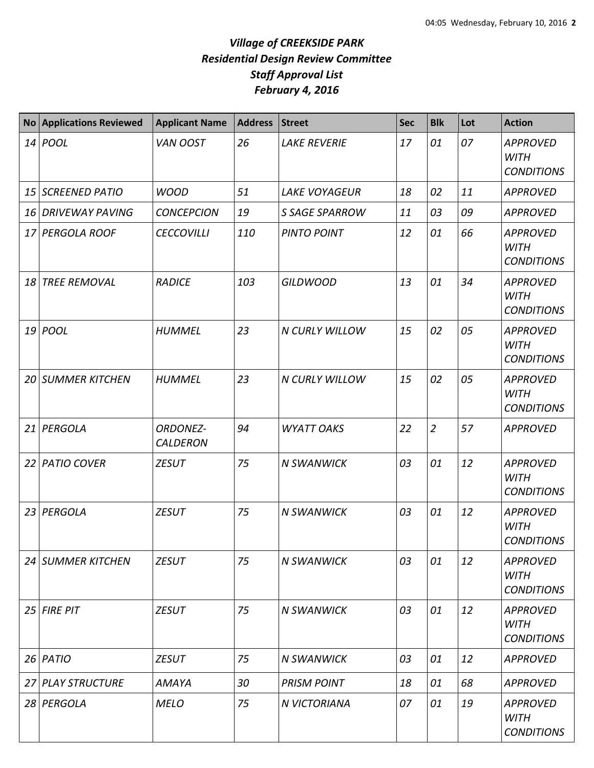## *Village of CREEKSIDE PARK Residential Design Review Committee Staff Approval List February 4, 2016*

| <b>No</b> | <b>Applications Reviewed</b> | <b>Applicant Name</b>              | <b>Address</b> | <b>Street</b>         | <b>Sec</b> | <b>Blk</b>     | Lot | <b>Action</b>                                       |
|-----------|------------------------------|------------------------------------|----------------|-----------------------|------------|----------------|-----|-----------------------------------------------------|
|           | 14 <i>POOL</i>               | VAN OOST                           | 26             | <b>LAKE REVERIE</b>   | 17         | 01             | 07  | <b>APPROVED</b><br><b>WITH</b><br><b>CONDITIONS</b> |
|           | 15 SCREENED PATIO            | <b>WOOD</b>                        | 51             | <b>LAKE VOYAGEUR</b>  | 18         | 02             | 11  | <b>APPROVED</b>                                     |
|           | 16 DRIVEWAY PAVING           | <b>CONCEPCION</b>                  | 19             | <b>S SAGE SPARROW</b> | 11         | 03             | 09  | <b>APPROVED</b>                                     |
|           | 17 PERGOLA ROOF              | <b>CECCOVILLI</b>                  | 110            | <b>PINTO POINT</b>    | 12         | 01             | 66  | <b>APPROVED</b><br><b>WITH</b><br><b>CONDITIONS</b> |
| 18        | <b>TREE REMOVAL</b>          | <b>RADICE</b>                      | 103            | <b>GILDWOOD</b>       | 13         | 01             | 34  | <b>APPROVED</b><br><b>WITH</b><br><b>CONDITIONS</b> |
|           | $19$ POOL                    | <b>HUMMEL</b>                      | 23             | <b>N CURLY WILLOW</b> | 15         | 02             | 05  | <b>APPROVED</b><br><b>WITH</b><br><b>CONDITIONS</b> |
|           | <b>20 SUMMER KITCHEN</b>     | <b>HUMMEL</b>                      | 23             | <b>N CURLY WILLOW</b> | 15         | 02             | 05  | <b>APPROVED</b><br><b>WITH</b><br><b>CONDITIONS</b> |
|           | 21 PERGOLA                   | <b>ORDONEZ-</b><br><b>CALDERON</b> | 94             | <b>WYATT OAKS</b>     | 22         | $\overline{2}$ | 57  | <b>APPROVED</b>                                     |
|           | 22 PATIO COVER               | <b>ZESUT</b>                       | 75             | <b>N SWANWICK</b>     | 03         | 01             | 12  | <b>APPROVED</b><br><b>WITH</b><br><b>CONDITIONS</b> |
|           | 23 PERGOLA                   | <b>ZESUT</b>                       | 75             | <b>N SWANWICK</b>     | 03         | 01             | 12  | <b>APPROVED</b><br><b>WITH</b><br><b>CONDITIONS</b> |
|           | <b>24 SUMMER KITCHEN</b>     | <b>ZESUT</b>                       | 75             | <b>N SWANWICK</b>     | 03         | 01             | 12  | <b>APPROVED</b><br><b>WITH</b><br><b>CONDITIONS</b> |
|           | $25$ FIRE PIT                | <b>ZESUT</b>                       | 75             | <b>N SWANWICK</b>     | 03         | 01             | 12  | <b>APPROVED</b><br><b>WITH</b><br><b>CONDITIONS</b> |
|           | $26$ PATIO                   | <b>ZESUT</b>                       | 75             | <b>N SWANWICK</b>     | 03         | 01             | 12  | <b>APPROVED</b>                                     |
|           | 27 PLAY STRUCTURE            | AMAYA                              | 30             | <b>PRISM POINT</b>    | 18         | 01             | 68  | <b>APPROVED</b>                                     |
|           | 28 PERGOLA                   | <b>MELO</b>                        | 75             | N VICTORIANA          | 07         | 01             | 19  | <b>APPROVED</b><br><b>WITH</b><br><b>CONDITIONS</b> |